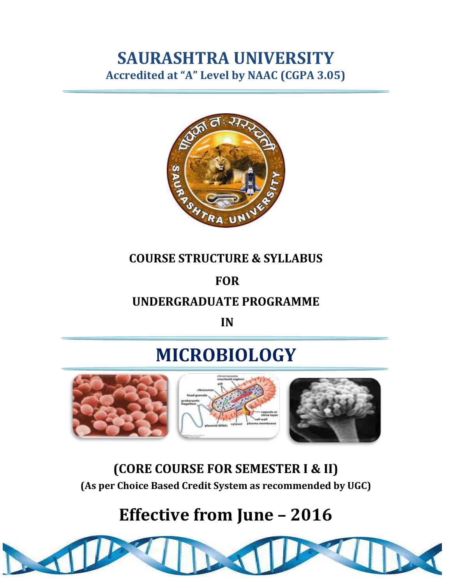### **SAURASHTRA UNIVERSITY Accredited at "A" Level by NAAC (CGPA 3.05)**



### **COURSE STRUCTURE & SYLLABUS**

### **FOR**

### **UNDERGRADUATE PROGRAMME**

**IN**

# **MICROBIOLOGY**



**(CORE COURSE FOR SEMESTER I & II) (As per Choice Based Credit System as recommended by UGC)**

# **Effective from June – 2016**

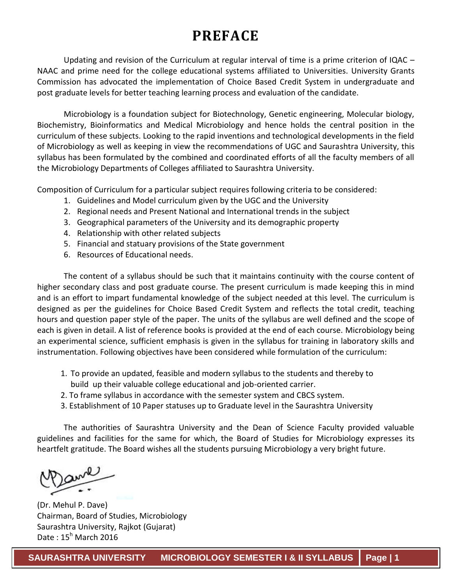### **PREFACE**

Updating and revision of the Curriculum at regular interval of time is a prime criterion of IQAC – NAAC and prime need for the college educational systems affiliated to Universities. University Grants Commission has advocated the implementation of Choice Based Credit System in undergraduate and post graduate levels for better teaching learning process and evaluation of the candidate.

Microbiology is a foundation subject for Biotechnology, Genetic engineering, Molecular biology, Biochemistry, Bioinformatics and Medical Microbiology and hence holds the central position in the curriculum of these subjects. Looking to the rapid inventions and technological developments in the field of Microbiology as well as keeping in view the recommendations of UGC and Saurashtra University, this syllabus has been formulated by the combined and coordinated efforts of all the faculty members of all the Microbiology Departments of Colleges affiliated to Saurashtra University.

Composition of Curriculum for a particular subject requires following criteria to be considered:

- 1. Guidelines and Model curriculum given by the UGC and the University
- 2. Regional needs and Present National and International trends in the subject
- 3. Geographical parameters of the University and its demographic property
- 4. Relationship with other related subjects
- 5. Financial and statuary provisions of the State government
- 6. Resources of Educational needs.

The content of a syllabus should be such that it maintains continuity with the course content of higher secondary class and post graduate course. The present curriculum is made keeping this in mind and is an effort to impart fundamental knowledge of the subject needed at this level. The curriculum is designed as per the guidelines for Choice Based Credit System and reflects the total credit, teaching hours and question paper style of the paper. The units of the syllabus are well defined and the scope of each is given in detail. A list of reference books is provided at the end of each course. Microbiology being an experimental science, sufficient emphasis is given in the syllabus for training in laboratory skills and instrumentation. Following objectives have been considered while formulation of the curriculum:

- 1. To provide an updated, feasible and modern syllabus to the students and thereby to build up their valuable college educational and job-oriented carrier.
- 2. To frame syllabus in accordance with the semester system and CBCS system.
- 3. Establishment of 10 Paper statuses up to Graduate level in the Saurashtra University

The authorities of Saurashtra University and the Dean of Science Faculty provided valuable guidelines and facilities for the same for which, the Board of Studies for Microbiology expresses its heartfelt gratitude. The Board wishes all the students pursuing Microbiology a very bright future.

(Dr. Mehul P. Dave) Chairman, Board of Studies, Microbiology Saurashtra University, Rajkot (Gujarat) Date : 15<sup>h</sup> March 2016

**SAURASHTRA UNIVERSITY MICROBIOLOGY SEMESTER I & II SYLLABUS Page | 1**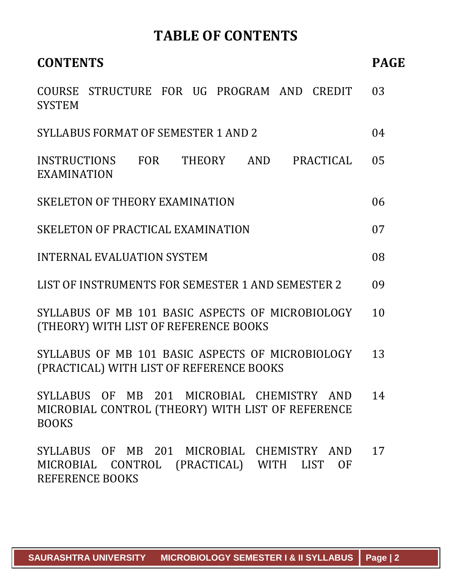### **TABLE OF CONTENTS**

| <b>CONTENTS</b>                                                                                                                 | <b>PAGE</b> |
|---------------------------------------------------------------------------------------------------------------------------------|-------------|
| COURSE STRUCTURE FOR UG PROGRAM AND CREDIT<br><b>SYSTEM</b>                                                                     | 03          |
| <b>SYLLABUS FORMAT OF SEMESTER 1 AND 2</b>                                                                                      | 04          |
| INSTRUCTIONS FOR<br>PRACTICAL<br>THEORY AND<br>EXAMINATION                                                                      | 05          |
| SKELETON OF THEORY EXAMINATION                                                                                                  | 06          |
| SKELETON OF PRACTICAL EXAMINATION                                                                                               | 07          |
| <b>INTERNAL EVALUATION SYSTEM</b>                                                                                               | 08          |
| LIST OF INSTRUMENTS FOR SEMESTER 1 AND SEMESTER 2                                                                               | 09          |
| SYLLABUS OF MB 101 BASIC ASPECTS OF MICROBIOLOGY<br>(THEORY) WITH LIST OF REFERENCE BOOKS                                       | 10          |
| SYLLABUS OF MB 101 BASIC ASPECTS OF MICROBIOLOGY<br>(PRACTICAL) WITH LIST OF REFERENCE BOOKS                                    | 13          |
| SYLLABUS OF MB 201 MICROBIAL CHEMISTRY AND<br>MICROBIAL CONTROL (THEORY) WITH LIST OF REFERENCE<br><b>BOOKS</b>                 | 14          |
| SYLLABUS OF MB 201 MICROBIAL CHEMISTRY AND<br>MICROBIAL CONTROL (PRACTICAL) WITH<br>LIST<br><b>OF</b><br><b>REFERENCE BOOKS</b> | 17          |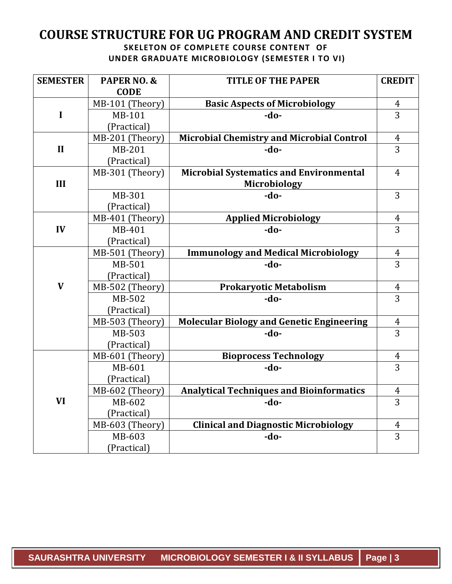#### **COURSE STRUCTURE FOR UG PROGRAM AND CREDIT SYSTEM SKELETON OF COMPLETE COURSE CONTENT OF**

**UNDER GRADUATE MICROBIOLOGY (SEMESTER I TO VI)**

| <b>SEMESTER</b> | PAPER NO. &     | <b>TITLE OF THE PAPER</b>                        | <b>CREDIT</b>  |
|-----------------|-----------------|--------------------------------------------------|----------------|
|                 | <b>CODE</b>     |                                                  |                |
|                 | MB-101 (Theory) | <b>Basic Aspects of Microbiology</b>             | $\overline{4}$ |
| $\mathbf I$     | MB-101          | -do-                                             | $\overline{3}$ |
|                 | (Practical)     |                                                  |                |
|                 | MB-201 (Theory) | <b>Microbial Chemistry and Microbial Control</b> | $\overline{4}$ |
| $\mathbf{II}$   | MB-201          | $-do-$                                           | $\overline{3}$ |
|                 | (Practical)     |                                                  |                |
|                 | MB-301 (Theory) | <b>Microbial Systematics and Environmental</b>   | $\overline{4}$ |
| III             |                 | Microbiology                                     |                |
|                 | MB-301          | $-do-$                                           | 3              |
|                 | (Practical)     |                                                  |                |
|                 | MB-401 (Theory) | <b>Applied Microbiology</b>                      | $\overline{4}$ |
| IV              | MB-401          | $-do-$                                           | 3              |
|                 | (Practical)     |                                                  |                |
|                 | MB-501 (Theory) | <b>Immunology and Medical Microbiology</b>       | $\frac{4}{3}$  |
|                 | MB-501          | -do-                                             |                |
|                 | (Practical)     |                                                  |                |
| $\mathbf{V}$    | MB-502 (Theory) | Prokaryotic Metabolism                           | $\overline{4}$ |
|                 | MB-502          | -do-                                             | $\overline{3}$ |
|                 | (Practical)     |                                                  |                |
|                 | MB-503 (Theory) | <b>Molecular Biology and Genetic Engineering</b> | $\overline{4}$ |
|                 | MB-503          | -do-                                             | $\overline{3}$ |
|                 | (Practical)     |                                                  |                |
|                 | MB-601 (Theory) | <b>Bioprocess Technology</b>                     | $\overline{4}$ |
|                 | MB-601          | -do-                                             | $\overline{3}$ |
|                 | (Practical)     |                                                  |                |
|                 | MB-602 (Theory) | <b>Analytical Techniques and Bioinformatics</b>  | $\frac{4}{3}$  |
| <b>VI</b>       | MB-602          | $-do-$                                           |                |
|                 | (Practical)     |                                                  |                |
|                 | MB-603 (Theory) | <b>Clinical and Diagnostic Microbiology</b>      | $\overline{4}$ |
|                 | MB-603          | -do-                                             | 3              |
|                 | (Practical)     |                                                  |                |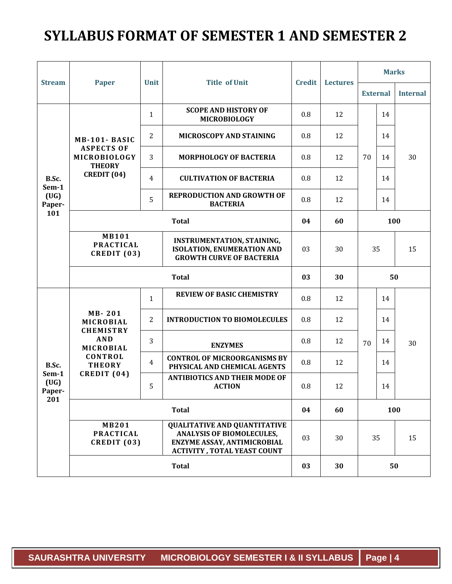### **SYLLABUS FORMAT OF SEMESTER 1 AND SEMESTER 2**

|                                         |                                                                    |                |                                                                                                                                                     |     | <b>Lectures</b> | <b>Marks</b>    |     |                 |
|-----------------------------------------|--------------------------------------------------------------------|----------------|-----------------------------------------------------------------------------------------------------------------------------------------------------|-----|-----------------|-----------------|-----|-----------------|
| <b>Stream</b>                           | <b>Paper</b>                                                       | <b>Unit</b>    | <b>Title of Unit</b><br><b>Credit</b>                                                                                                               |     |                 | <b>External</b> |     | <b>Internal</b> |
|                                         | MB-101-BASIC<br><b>ASPECTS OF</b><br>MICROBIOLOGY<br><b>THEORY</b> | $\mathbf{1}$   | <b>SCOPE AND HISTORY OF</b><br><b>MICROBIOLOGY</b>                                                                                                  | 0.8 | 12              |                 | 14  |                 |
|                                         |                                                                    | $\overline{2}$ | MICROSCOPY AND STAINING                                                                                                                             | 0.8 | 12              |                 | 14  |                 |
|                                         |                                                                    | 3              | <b>MORPHOLOGY OF BACTERIA</b>                                                                                                                       | 0.8 | 12              | 70              | 14  | 30              |
| B.Sc.<br>Sem-1                          | CREDIT (04)                                                        | $\overline{4}$ | <b>CULTIVATION OF BACTERIA</b>                                                                                                                      | 0.8 | 12              |                 | 14  |                 |
| (UG)<br>Paper-                          |                                                                    | 5              | <b>REPRODUCTION AND GROWTH OF</b><br><b>BACTERIA</b>                                                                                                | 0.8 | 12              |                 | 14  |                 |
| 101                                     |                                                                    |                | <b>Total</b>                                                                                                                                        | 04  | 60              |                 | 100 |                 |
|                                         | <b>MB101</b><br><b>PRACTICAL</b><br>CREDIT (03)                    |                | <b>INSTRUMENTATION, STAINING,</b><br><b>ISOLATION, ENUMERATION AND</b><br><b>GROWTH CURVE OF BACTERIA</b>                                           | 03  | 30              | 15<br>35        |     |                 |
|                                         |                                                                    |                | <b>Total</b>                                                                                                                                        | 03  | 30              |                 | 50  |                 |
|                                         |                                                                    | $\mathbf{1}$   | <b>REVIEW OF BASIC CHEMISTRY</b>                                                                                                                    | 0.8 | 12              |                 | 14  |                 |
|                                         | MB-201<br>MICROBIAL                                                | 2              | <b>INTRODUCTION TO BIOMOLECULES</b>                                                                                                                 | 0.8 | 12              |                 | 14  |                 |
|                                         | <b>CHEMISTRY</b><br><b>AND</b><br>MICROBIAL                        | 3              | <b>ENZYMES</b>                                                                                                                                      | 0.8 | 12              | 70              | 14  | 30              |
| B.Sc.<br>Sem-1<br>(UG)<br>Paper-<br>201 | CONTROL<br><b>THEORY</b>                                           | $\overline{4}$ | <b>CONTROL OF MICROORGANISMS BY</b><br>PHYSICAL AND CHEMICAL AGENTS                                                                                 | 0.8 | 12              |                 | 14  |                 |
|                                         | CREDIT (04)                                                        | 5              | <b>ANTIBIOTICS AND THEIR MODE OF</b><br><b>ACTION</b>                                                                                               | 0.8 | 12              |                 | 14  |                 |
|                                         | <b>Total</b>                                                       |                | 04                                                                                                                                                  | 60  | 100             |                 |     |                 |
|                                         | <b>MB201</b><br><b>PRACTICAL</b><br>CREDIT (03)                    |                | <b>QUALITATIVE AND QUANTITATIVE</b><br><b>ANALYSIS OF BIOMOLECULES,</b><br><b>ENZYME ASSAY, ANTIMICROBIAL</b><br><b>ACTIVITY, TOTAL YEAST COUNT</b> | 03  | 30              | 35              |     | 15              |
|                                         |                                                                    |                | <b>Total</b>                                                                                                                                        | 03  | 30              |                 | 50  |                 |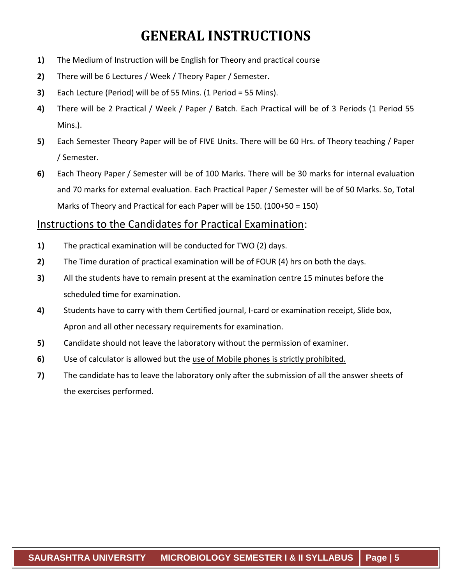### **GENERAL INSTRUCTIONS**

- **1)** The Medium of Instruction will be English for Theory and practical course
- **2)** There will be 6 Lectures / Week / Theory Paper / Semester.
- **3)** Each Lecture (Period) will be of 55 Mins. (1 Period = 55 Mins).
- **4)** There will be 2 Practical / Week / Paper / Batch. Each Practical will be of 3 Periods (1 Period 55 Mins.).
- **5)** Each Semester Theory Paper will be of FIVE Units. There will be 60 Hrs. of Theory teaching / Paper / Semester.
- **6)** Each Theory Paper / Semester will be of 100 Marks. There will be 30 marks for internal evaluation and 70 marks for external evaluation. Each Practical Paper / Semester will be of 50 Marks. So, Total Marks of Theory and Practical for each Paper will be 150. (100+50 = 150)

#### Instructions to the Candidates for Practical Examination:

- **1)** The practical examination will be conducted for TWO (2) days.
- **2)** The Time duration of practical examination will be of FOUR (4) hrs on both the days.
- **3)** All the students have to remain present at the examination centre 15 minutes before the scheduled time for examination.
- **4)** Students have to carry with them Certified journal, I-card or examination receipt, Slide box, Apron and all other necessary requirements for examination.
- **5)** Candidate should not leave the laboratory without the permission of examiner.
- **6)** Use of calculator is allowed but the use of Mobile phones is strictly prohibited.
- **7)** The candidate has to leave the laboratory only after the submission of all the answer sheets of the exercises performed.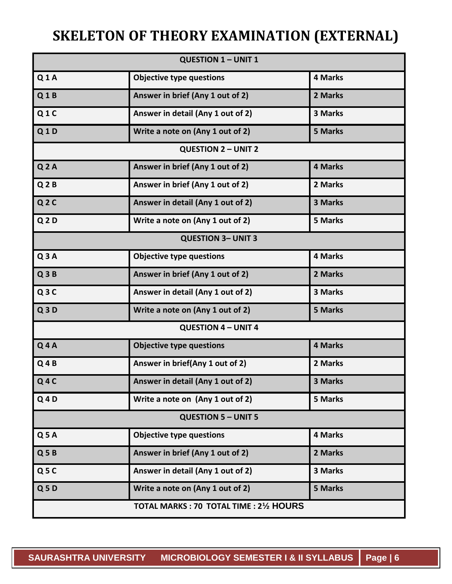## **SKELETON OF THEORY EXAMINATION (EXTERNAL)**

|                      | <b>QUESTION 1 - UNIT 1</b>             |                |
|----------------------|----------------------------------------|----------------|
| Q1A                  | <b>Objective type questions</b>        | <b>4 Marks</b> |
| Q1B                  | Answer in brief (Any 1 out of 2)       | 2 Marks        |
| Q1C                  | Answer in detail (Any 1 out of 2)      | 3 Marks        |
| Q1D                  | Write a note on (Any 1 out of 2)       | <b>5 Marks</b> |
|                      | <b>QUESTION 2 - UNIT 2</b>             |                |
| Q <sub>2</sub> A     | Answer in brief (Any 1 out of 2)       | 4 Marks        |
| Q <sub>2</sub> B     | Answer in brief (Any 1 out of 2)       | 2 Marks        |
| Q <sub>2</sub> C     | Answer in detail (Any 1 out of 2)      | 3 Marks        |
| Q <sub>2</sub> D     | Write a note on (Any 1 out of 2)       | <b>5 Marks</b> |
|                      | <b>QUESTION 3- UNIT 3</b>              |                |
| Q3A                  | <b>Objective type questions</b>        | 4 Marks        |
| Q3B                  | Answer in brief (Any 1 out of 2)       | 2 Marks        |
| Q3C                  | Answer in detail (Any 1 out of 2)      | 3 Marks        |
| Q3D                  | Write a note on (Any 1 out of 2)       | 5 Marks        |
|                      | <b>QUESTION 4 - UNIT 4</b>             |                |
| $Q$ 4A               | <b>Objective type questions</b>        | <b>4 Marks</b> |
| $Q$ 4B               | Answer in brief(Any 1 out of 2)        | 2 Marks        |
| $Q$ 4 $C$            | Answer in detail (Any 1 out of 2)      | 3 Marks        |
| $Q$ <sub>4</sub> $D$ | Write a note on (Any 1 out of 2)       | <b>5 Marks</b> |
|                      | <b>QUESTION 5 - UNIT 5</b>             |                |
| Q <sub>5</sub> A     | <b>Objective type questions</b>        | 4 Marks        |
| Q5B                  | Answer in brief (Any 1 out of 2)       | 2 Marks        |
| Q5C                  | Answer in detail (Any 1 out of 2)      | <b>3 Marks</b> |
| Q5D                  | Write a note on (Any 1 out of 2)       | <b>5 Marks</b> |
|                      | TOTAL MARKS: 70 TOTAL TIME: 21/2 HOURS |                |
|                      |                                        |                |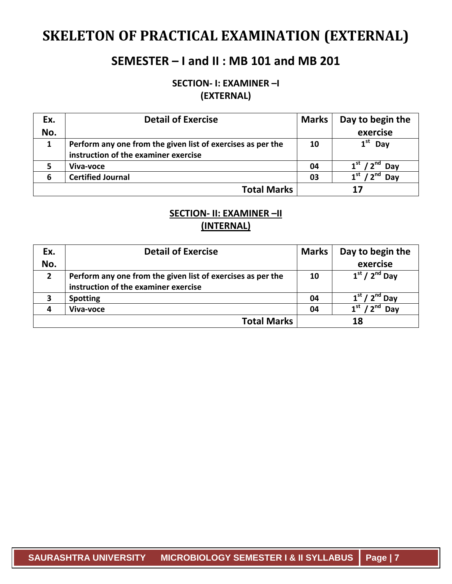### **SKELETON OF PRACTICAL EXAMINATION (EXTERNAL)**

### **SEMESTER – I and II : MB 101 and MB 201**

**SECTION- I: EXAMINER –I (EXTERNAL)**

| Ex. | <b>Detail of Exercise</b>                                   | <b>Marks</b> | Day to begin the         |
|-----|-------------------------------------------------------------|--------------|--------------------------|
| No. |                                                             |              | exercise                 |
| 1   | Perform any one from the given list of exercises as per the | 10           | $1^{\rm st}$<br>Day      |
|     | instruction of the examiner exercise                        |              |                          |
|     | Viva-voce                                                   | 04           | Day                      |
| 6   | <b>Certified Journal</b>                                    | 03           | 4 st<br>$\sim$ nd<br>Day |
|     | <b>Total Marks</b>                                          |              |                          |

#### **SECTION- II: EXAMINER –II (INTERNAL)**

| Ex.            | <b>Detail of Exercise</b>                                                                           | <b>Marks</b> | Day to begin the              |
|----------------|-----------------------------------------------------------------------------------------------------|--------------|-------------------------------|
| No.            |                                                                                                     |              | exercise                      |
| $\overline{2}$ | Perform any one from the given list of exercises as per the<br>instruction of the examiner exercise | 10           | $1st / 2nd$ Day               |
| 3              | <b>Spotting</b>                                                                                     | 04           | $1st / 2nd$ Day               |
|                | Viva-voce                                                                                           | 04           | $\mathbf{a}$ nd<br>1st<br>Dav |
|                | <b>Total Marks</b>                                                                                  |              | 18                            |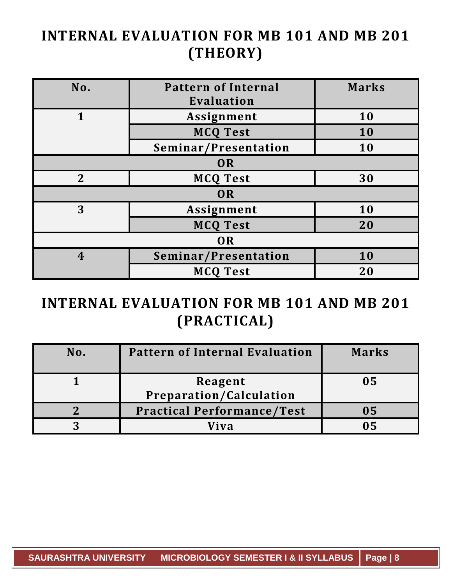## **INTERNAL EVALUATION FOR MB 101 AND MB 201 (THEORY)**

| No.              | <b>Pattern of Internal</b><br>Evaluation | <b>Marks</b> |  |
|------------------|------------------------------------------|--------------|--|
| 1                | Assignment                               | 10           |  |
|                  | <b>MCQ Test</b>                          | 10           |  |
|                  | Seminar/Presentation                     | 10           |  |
|                  | OR                                       |              |  |
| $\overline{2}$   | <b>MCQ Test</b>                          | 30           |  |
| OR               |                                          |              |  |
| 3                | Assignment                               | 10           |  |
|                  | <b>MCQ Test</b>                          | 20           |  |
| OR               |                                          |              |  |
| $\boldsymbol{4}$ | Seminar/Presentation                     | 10           |  |
|                  | <b>MCQ Test</b>                          | <b>20</b>    |  |

## **INTERNAL EVALUATION FOR MB 101 AND MB 201 (PRACTICAL)**

| No. | <b>Pattern of Internal Evaluation</b>     | <b>Marks</b> |
|-----|-------------------------------------------|--------------|
|     | Reagent<br><b>Preparation/Calculation</b> | 05           |
|     | <b>Practical Performance/Test</b>         | 05           |
|     | Viva                                      |              |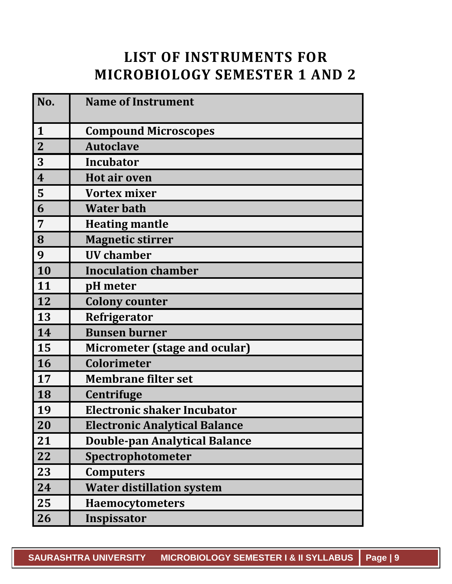### **LIST OF INSTRUMENTS FOR MICROBIOLOGY SEMESTER 1 AND 2**

| No.                     | <b>Name of Instrument</b>            |
|-------------------------|--------------------------------------|
| $\mathbf{1}$            | <b>Compound Microscopes</b>          |
| $\mathbf{2}$            | <b>Autoclave</b>                     |
| 3                       | Incubator                            |
| $\overline{\mathbf{4}}$ | <b>Hot air oven</b>                  |
| 5                       | <b>Vortex mixer</b>                  |
| 6                       | <b>Water bath</b>                    |
| 7                       | <b>Heating mantle</b>                |
| 8                       | <b>Magnetic stirrer</b>              |
| 9                       | <b>UV</b> chamber                    |
| 10                      | <b>Inoculation chamber</b>           |
| 11                      | pH meter                             |
| 12                      | <b>Colony counter</b>                |
| 13                      | Refrigerator                         |
| 14                      | <b>Bunsen burner</b>                 |
| 15                      | Micrometer (stage and ocular)        |
| 16                      | <b>Colorimeter</b>                   |
| 17                      | <b>Membrane filter set</b>           |
| 18                      | Centrifuge                           |
| 19                      | <b>Electronic shaker Incubator</b>   |
| 20                      | <b>Electronic Analytical Balance</b> |
| 21                      | <b>Double-pan Analytical Balance</b> |
| 22                      | Spectrophotometer                    |
| 23                      | <b>Computers</b>                     |
| 24                      | <b>Water distillation system</b>     |
| 25                      | <b>Haemocytometers</b>               |
| 26                      | Inspissator                          |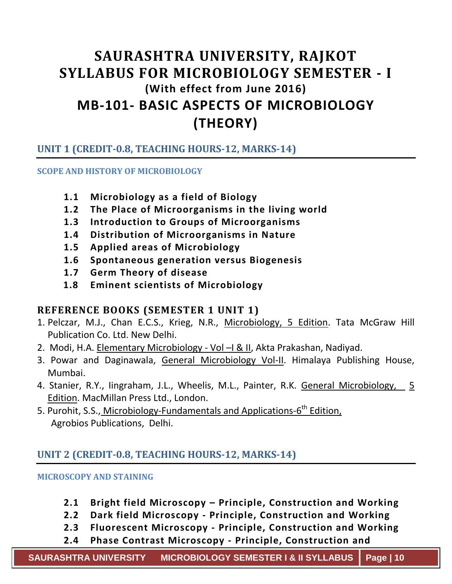### **SAURASHTRA UNIVERSITY, RAJKOT SYLLABUS FOR MICROBIOLOGY SEMESTER - I (With effect from June 2016) MB-101- BASIC ASPECTS OF MICROBIOLOGY (THEORY)**

#### **UNIT 1 (CREDIT-0.8, TEACHING HOURS-12, MARKS-14)**

#### **SCOPE AND HISTORY OF MICROBIOLOGY**

- **1.1 Microbiology as a field of Biology**
- **1.2 The Place of Microorganisms in the living world**
- **1.3 Introduction to Groups of Microorganisms**
- **1.4 Distribution of Microorganisms in Nature**
- **1.5 Applied areas of Microbiology**
- **1.6 Spontaneous generation versus Biogenesis**
- **1.7 Germ Theory of disease**
- **1.8 Eminent scientists of Microbiology**

#### **REFERENCE BOOKS (SEMESTER 1 UNIT 1)**

- 1. Pelczar, M.J., Chan E.C.S., Krieg, N.R., Microbiology, 5 Edition. Tata McGraw Hill Publication Co. Ltd. New Delhi.
- 2. Modi, H.A. Elementary Microbiology Vol R II, Akta Prakashan, Nadiyad.
- 3. Powar and Daginawala, General Microbiology Vol-II. Himalaya Publishing House, Mumbai.
- 4. Stanier, R.Y., Iingraham, J.L., Wheelis, M.L., Painter, R.K. General Microbiology, 5 Edition. MacMillan Press Ltd., London.
- 5. Purohit, S.S., Microbiology-Fundamentals and Applications-6<sup>th</sup> Edition, Agrobios Publications, Delhi.

#### **UNIT 2 (CREDIT-0.8, TEACHING HOURS-12, MARKS-14)**

#### **MICROSCOPY AND STAINING**

- **2.1 Bright field Microscopy – Principle, Construction and Working**
- **2.2 Dark field Microscopy - Principle, Construction and Working**
- **2.3 Fluorescent Microscopy - Principle, Construction and Working**
- **2.4 Phase Contrast Microscopy - Principle, Construction and**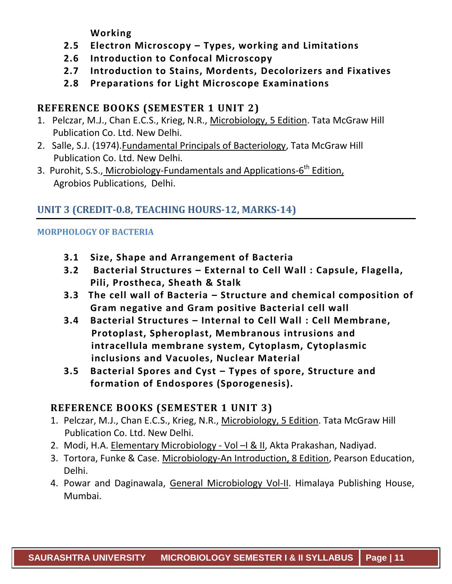**Working**

- **2.5 Electron Microscopy – Types, working and Limitations**
- **2.6 Introduction to Confocal Microscopy**
- **2.7 Introduction to Stains, Mordents, Decolorizers and Fixatives**
- **2.8 Preparations for Light Microscope Examinations**

#### **REFERENCE BOOKS (SEMESTER 1 UNIT 2)**

- 1. Pelczar, M.J., Chan E.C.S., Krieg, N.R., Microbiology, 5 Edition. Tata McGraw Hill Publication Co. Ltd. New Delhi.
- 2. Salle, S.J. (1974).Fundamental Principals of Bacteriology, Tata McGraw Hill Publication Co. Ltd. New Delhi.
- 3. Purohit, S.S., Microbiology-Fundamentals and Applications-6<sup>th</sup> Edition, Agrobios Publications, Delhi.

#### **UNIT 3 (CREDIT-0.8, TEACHING HOURS-12, MARKS-14)**

#### **MORPHOLOGY OF BACTERIA**

- **3.1 Size, Shape and Arrangement of Bacteria**
- **3.2 Bacterial Structures – External to Cell Wall : Capsule, Flagella, Pili, Prostheca, Sheath & Stalk**
- **3.3 The cell wall of Bacteria – Structure and chemical composition of Gram negative and Gram positive Bacterial cell wall**
- **3.4 Bacterial Structures – Internal to Cell Wall : Cell Membrane, Protoplast, Spheroplast, Membranous intrusions and intracellula membrane system, Cytoplasm, Cytoplasmic inclusions and Vacuoles, Nuclear Material**
- **3.5 Bacterial Spores and Cyst – Types of spore, Structure and formation of Endospores (Sporogenesis).**

#### **REFERENCE BOOKS (SEMESTER 1 UNIT 3)**

- 1. Pelczar, M.J., Chan E.C.S., Krieg, N.R., Microbiology, 5 Edition. Tata McGraw Hill Publication Co. Ltd. New Delhi.
- 2. Modi, H.A. Elementary Microbiology Vol R II, Akta Prakashan, Nadiyad.
- 3. Tortora, Funke & Case. Microbiology-An Introduction, 8 Edition, Pearson Education, Delhi.
- 4. Powar and Daginawala, General Microbiology Vol-II. Himalaya Publishing House, Mumbai.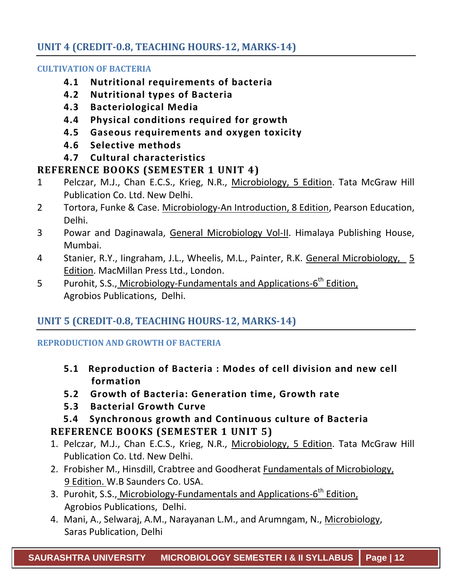#### **UNIT 4 (CREDIT-0.8, TEACHING HOURS-12, MARKS-14)**

#### **CULTIVATION OF BACTERIA**

- **4.1 Nutritional requirements of bacteria**
- **4.2 Nutritional types of Bacteria**
- **4.3 Bacteriological Media**
- **4.4 Physical conditions required for growth**
- **4.5 Gaseous requirements and oxygen toxicity**
- **4.6 Selective methods**
- **4.7 Cultural characteristics**

#### **REFERENCE BOOKS (SEMESTER 1 UNIT 4)**

- 1 Pelczar, M.J., Chan E.C.S., Krieg, N.R., Microbiology, 5 Edition. Tata McGraw Hill Publication Co. Ltd. New Delhi.
- 2 Tortora, Funke & Case. Microbiology-An Introduction, 8 Edition, Pearson Education, Delhi.
- 3 Powar and Daginawala, General Microbiology Vol-II. Himalaya Publishing House, Mumbai.
- 4 Stanier, R.Y., lingraham, J.L., Wheelis, M.L., Painter, R.K. General Microbiology, 5 Edition. MacMillan Press Ltd., London.
- 5 Purohit, S.S., Microbiology-Fundamentals and Applications-6<sup>th</sup> Edition, Agrobios Publications, Delhi.

#### **UNIT 5 (CREDIT-0.8, TEACHING HOURS-12, MARKS-14)**

#### **REPRODUCTION AND GROWTH OF BACTERIA**

- **5.1 Reproduction of Bacteria : Modes of cell division and new cell formation**
- **5.2 Growth of Bacteria: Generation time, Growth rate**
- **5.3 Bacterial Growth Curve**
- **5.4 Synchronous growth and Continuous culture of Bacteria REFERENCE BOOKS (SEMESTER 1 UNIT 5)**
- 1. Pelczar, M.J., Chan E.C.S., Krieg, N.R., Microbiology, 5 Edition. Tata McGraw Hill Publication Co. Ltd. New Delhi.
- 2. Frobisher M., Hinsdill, Crabtree and Goodherat Fundamentals of Microbiology, 9 Edition. W.B Saunders Co. USA.
- 3. Purohit, S.S., Microbiology-Fundamentals and Applications-6<sup>th</sup> Edition, Agrobios Publications, Delhi.
- 4. Mani, A., Selwaraj, A.M., Narayanan L.M., and Arumngam, N., Microbiology, Saras Publication, Delhi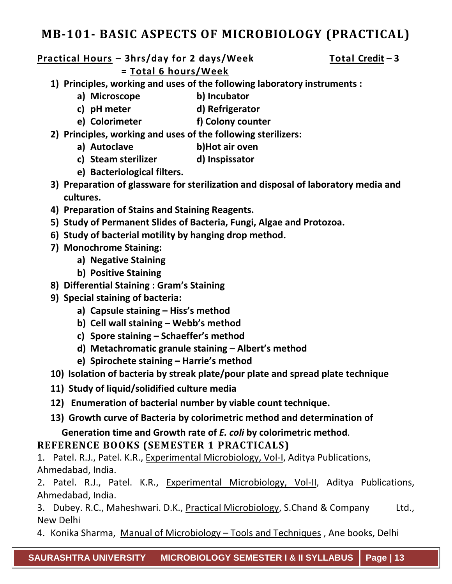### **MB-101- BASIC ASPECTS OF MICROBIOLOGY (PRACTICAL)**

#### **Practical Hours – 3hrs/day for 2 days/Week Total Credit – 3 = Total 6 hours/Week**

- **1) Principles, working and uses of the following laboratory instruments :** 
	- **a) Microscope b) Incubator**
	- **c) pH meter d) Refrigerator**
	- **e) Colorimeter f) Colony counter**
- **2) Principles, working and uses of the following sterilizers:**
	- **a) Autoclave b)Hot air oven**
	- **c) Steam sterilizer d) Inspissator**
	- **e) Bacteriological filters.**
- **3) Preparation of glassware for sterilization and disposal of laboratory media and cultures.**
- **4) Preparation of Stains and Staining Reagents.**
- **5) Study of Permanent Slides of Bacteria, Fungi, Algae and Protozoa.**
- **6) Study of bacterial motility by hanging drop method.**
- **7) Monochrome Staining:**
	- **a) Negative Staining**
	- **b) Positive Staining**
- **8) Differential Staining : Gram's Staining**
- **9) Special staining of bacteria:**
	- **a) Capsule staining – Hiss's method**
	- **b) Cell wall staining – Webb's method**
	- **c) Spore staining – Schaeffer's method**
	- **d) Metachromatic granule staining – Albert's method**
	- **e) Spirochete staining – Harrie's method**
- **10) Isolation of bacteria by streak plate/pour plate and spread plate technique**
- **11) Study of liquid/solidified culture media**
- **12) Enumeration of bacterial number by viable count technique.**
- **13) Growth curve of Bacteria by colorimetric method and determination of**

 **Generation time and Growth rate of** *E. coli* **by colorimetric method**.

#### **REFERENCE BOOKS (SEMESTER 1 PRACTICALS)**

1. Patel. R.J., Patel. K.R., Experimental Microbiology, Vol-I, Aditya Publications, Ahmedabad, India.

2. Patel. R.J., Patel. K.R., Experimental Microbiology, Vol-II, Aditya Publications, Ahmedabad, India.

3. Dubey. R.C., Maheshwari. D.K., Practical Microbiology, S.Chand & Company Ltd., New Delhi

4. Konika Sharma, Manual of Microbiology – Tools and Techniques , Ane books, Delhi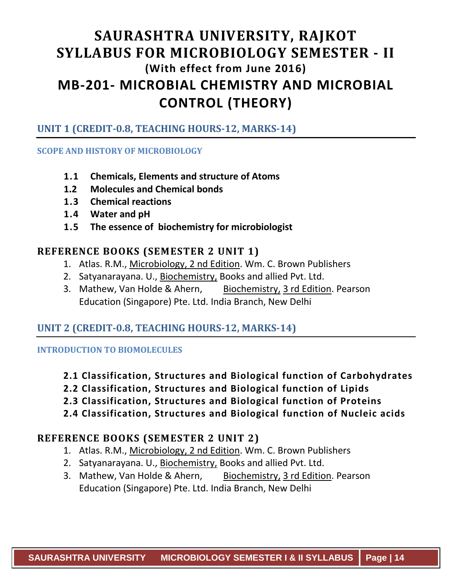### **SAURASHTRA UNIVERSITY, RAJKOT SYLLABUS FOR MICROBIOLOGY SEMESTER - II (With effect from June 2016) MB-201- MICROBIAL CHEMISTRY AND MICROBIAL CONTROL (THEORY)**

#### **UNIT 1 (CREDIT-0.8, TEACHING HOURS-12, MARKS-14)**

#### **SCOPE AND HISTORY OF MICROBIOLOGY**

- **1.1 Chemicals, Elements and structure of Atoms**
- **1.2 Molecules and Chemical bonds**
- **1.3 Chemical reactions**
- **1.4 Water and pH**
- **1.5 The essence of biochemistry for microbiologist**

#### **REFERENCE BOOKS (SEMESTER 2 UNIT 1)**

- 1. Atlas. R.M., Microbiology, 2 nd Edition. Wm. C. Brown Publishers
- 2. Satyanarayana. U., Biochemistry, Books and allied Pvt. Ltd.
- 3. Mathew, Van Holde & Ahern, Biochemistry, 3 rd Edition. Pearson Education (Singapore) Pte. Ltd. India Branch, New Delhi

#### **UNIT 2 (CREDIT-0.8, TEACHING HOURS-12, MARKS-14)**

**INTRODUCTION TO BIOMOLECULES**

- **2.1 Classification, Structures and Biological function of Carbohydrates**
- **2.2 Classification, Structures and Biological function of Lipids**
- **2.3 Classification, Structures and Biological function of Proteins**
- **2.4 Classification, Structures and Biological function of Nucleic acids**

#### **REFERENCE BOOKS (SEMESTER 2 UNIT 2)**

- 1. Atlas. R.M., Microbiology, 2 nd Edition. Wm. C. Brown Publishers
- 2. Satyanarayana. U., Biochemistry, Books and allied Pvt. Ltd.
- 3. Mathew, Van Holde & Ahern, Biochemistry, 3 rd Edition. Pearson Education (Singapore) Pte. Ltd. India Branch, New Delhi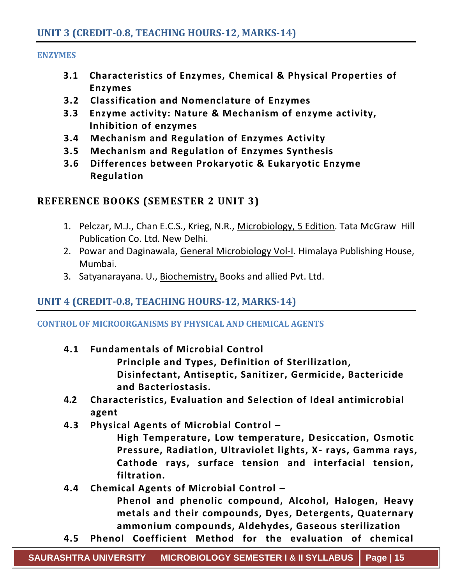#### **ENZYMES**

- **3.1 Characteristics of Enzymes, Chemical & Physical Properties of Enzymes**
- **3.2 Classification and Nomenclature of Enzymes**
- **3.3 Enzyme activity: Nature & Mechanism of enzyme activity, Inhibition of enzymes**
- **3.4 Mechanism and Regulation of Enzymes Activity**
- **3.5 Mechanism and Regulation of Enzymes Synthesis**
- **3.6 Differences between Prokaryotic & Eukaryotic Enzyme Regulation**

#### **REFERENCE BOOKS (SEMESTER 2 UNIT 3)**

- 1. Pelczar, M.J., Chan E.C.S., Krieg, N.R., Microbiology, 5 Edition. Tata McGraw Hill Publication Co. Ltd. New Delhi.
- 2. Powar and Daginawala, General Microbiology Vol-I. Himalaya Publishing House, Mumbai.
- 3. Satyanarayana. U., Biochemistry, Books and allied Pvt. Ltd.

#### **UNIT 4 (CREDIT-0.8, TEACHING HOURS-12, MARKS-14)**

**CONTROL OF MICROORGANISMS BY PHYSICAL AND CHEMICAL AGENTS**

**4.1 Fundamentals of Microbial Control** 

**Principle and Types, Definition of Sterilization, Disinfectant, Antiseptic, Sanitizer, Germicide, Bactericide and Bacteriostasis.**

- **4.2 Characteristics, Evaluation and Selection of Ideal antimicrobial agent**
- **4.3 Physical Agents of Microbial Control –**

**High Temperature, Low temperature, Desiccation, Osmotic Pressure, Radiation, Ultraviolet lights, X- rays, Gamma rays, Cathode rays, surface tension and interfacial tension, filtration.**

**4.4 Chemical Agents of Microbial Control –**

**Phenol and phenolic compound, Alcohol, Halogen, Heavy metals and their compounds, Dyes, Detergents, Quaternary ammonium compounds, Aldehydes, Gaseous sterilization**

**4.5 Phenol Coefficient Method for the evaluation of chemical**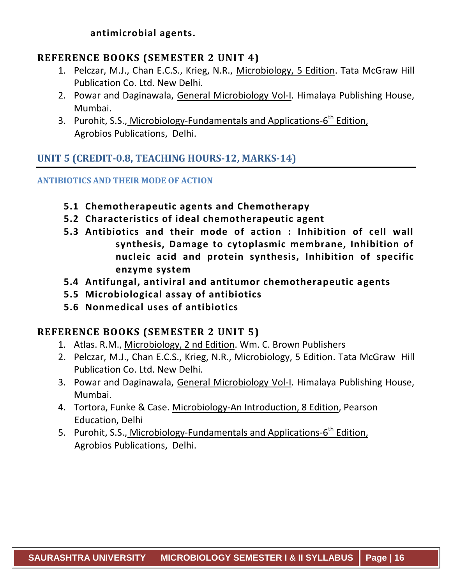**antimicrobial agents.**

#### **REFERENCE BOOKS (SEMESTER 2 UNIT 4)**

- 1. Pelczar, M.J., Chan E.C.S., Krieg, N.R., Microbiology, 5 Edition. Tata McGraw Hill Publication Co. Ltd. New Delhi.
- 2. Powar and Daginawala, General Microbiology Vol-I. Himalaya Publishing House, Mumbai.
- 3. Purohit, S.S., Microbiology-Fundamentals and Applications-6<sup>th</sup> Edition, Agrobios Publications, Delhi.

#### **UNIT 5 (CREDIT-0.8, TEACHING HOURS-12, MARKS-14)**

#### **ANTIBIOTICS AND THEIR MODE OF ACTION**

- **5.1 Chemotherapeutic agents and Chemotherapy**
- **5.2 Characteristics of ideal chemotherapeutic agent**
- **5.3 Antibiotics and their mode of action : Inhibition of cell wall synthesis, Damage to cytoplasmic membrane, Inhibition of nucleic acid and protein synthesis, Inhibition of specific enzyme system**
- **5.4 Antifungal, antiviral and antitumor chemotherapeutic a gents**
- **5.5 Microbiological assay of antibiotics**
- **5.6 Nonmedical uses of antibiotics**

#### **REFERENCE BOOKS (SEMESTER 2 UNIT 5)**

- 1. Atlas. R.M., Microbiology, 2 nd Edition. Wm. C. Brown Publishers
- 2. Pelczar, M.J., Chan E.C.S., Krieg, N.R., Microbiology, 5 Edition. Tata McGraw Hill Publication Co. Ltd. New Delhi.
- 3. Powar and Daginawala, General Microbiology Vol-I. Himalaya Publishing House, Mumbai.
- 4. Tortora, Funke & Case. Microbiology-An Introduction, 8 Edition, Pearson Education, Delhi
- 5. Purohit, S.S., Microbiology-Fundamentals and Applications-6<sup>th</sup> Edition, Agrobios Publications, Delhi.